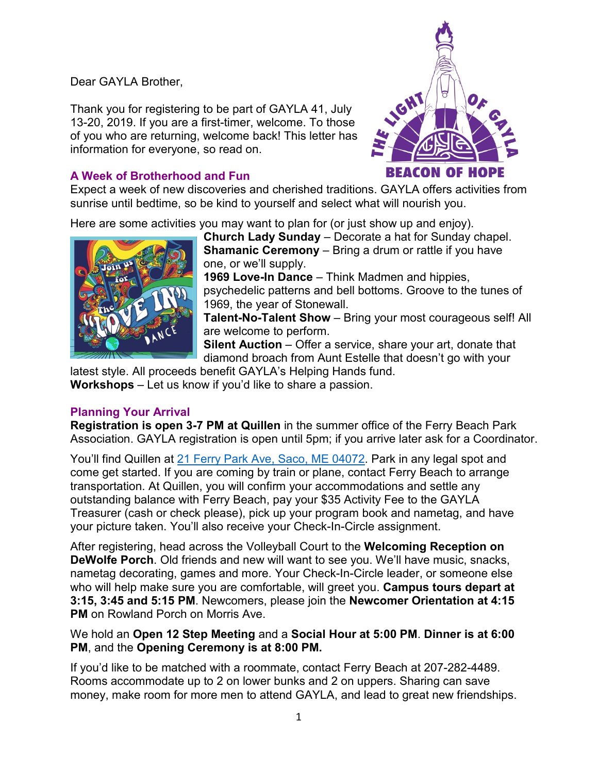## Dear GAYLA Brother,

Thank you for registering to be part of GAYLA 41, July 13-20, 2019. If you are a first-timer, welcome. To those of you who are returning, welcome back! This letter has information for everyone, so read on.

# **A Week of Brotherhood and Fun**



Expect a week of new discoveries and cherished traditions. GAYLA offers activities from sunrise until bedtime, so be kind to yourself and select what will nourish you.

Here are some activities you may want to plan for (or just show up and enjoy).



**Church Lady Sunday** – Decorate a hat for Sunday chapel. **Shamanic Ceremony** – Bring a drum or rattle if you have one, or we'll supply.

**1969 Love-In Dance** – Think Madmen and hippies, psychedelic patterns and bell bottoms. Groove to the tunes of 1969, the year of Stonewall.

**Talent-No-Talent Show** – Bring your most courageous self! All are welcome to perform.

**Silent Auction** – Offer a service, share your art, donate that diamond broach from Aunt Estelle that doesn't go with your

latest style. All proceeds benefit GAYLA's Helping Hands fund. **Workshops** – Let us know if you'd like to share a passion.

# **Planning Your Arrival**

**Registration is open 3-7 PM at Quillen** in the summer office of the Ferry Beach Park Association. GAYLA registration is open until 5pm; if you arrive later ask for a Coordinator.

You'll find Quillen at 21 Ferry Park Ave, Saco, ME [04072.](https://goo.gl/maps/qC7Qt1xJmLdBr3R19) Park in any legal spot and come get started. If you are coming by train or plane, contact Ferry Beach to arrange transportation. At Quillen, you will confirm your accommodations and settle any outstanding balance with Ferry Beach, pay your \$35 Activity Fee to the GAYLA Treasurer (cash or check please), pick up your program book and nametag, and have your picture taken. You'll also receive your Check-In-Circle assignment.

After registering, head across the Volleyball Court to the **Welcoming Reception on DeWolfe Porch**. Old friends and new will want to see you. We'll have music, snacks, nametag decorating, games and more. Your Check-In-Circle leader, or someone else who will help make sure you are comfortable, will greet you. **Campus tours depart at 3:15, 3:45 and 5:15 PM**. Newcomers, please join the **Newcomer Orientation at 4:15 PM** on Rowland Porch on Morris Ave.

We hold an **Open 12 Step Meeting** and a **Social Hour at 5:00 PM**. **Dinner is at 6:00 PM**, and the **Opening Ceremony is at 8:00 PM.**

If you'd like to be matched with a roommate, contact Ferry Beach at 207-282-4489. Rooms accommodate up to 2 on lower bunks and 2 on uppers. Sharing can save money, make room for more men to attend GAYLA, and lead to great new friendships.